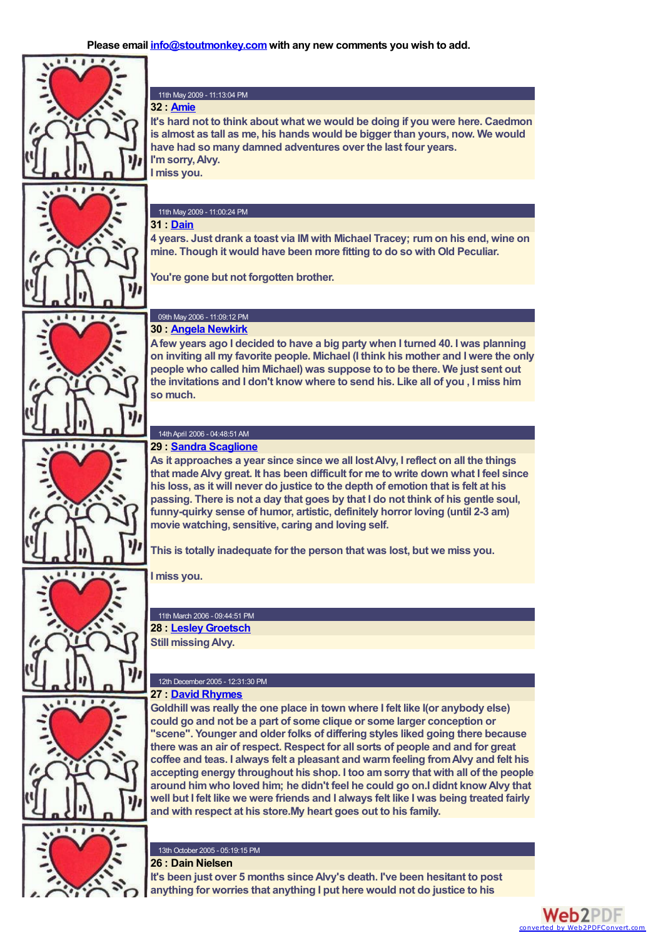

### 11th May 2009 - 11:13:04 PM

**It's hard not to think about what we would be doing if you were here. Caedmon is almost as tall as me, his hands would be bigger than yours, now. We would have had so many damned adventures over the last four years. I'msorry,Alvy.**

#### 11th May 2009 - 11:00:24 PM

**4 years. Just drank a toast via IM with Michael Tracey; rumon his end, wine on mine. Though it would have been more fitting to do so with Old Peculiar.**

**You're gone but not forgotten brother.**

# **30 : Angela [Newkirk](mailto:acnewkirk@earthlink.net)**

**Afew years ago I decided to have a big party when I turned 40. I was planning on inviting all my favorite people. Michael (I think his mother and I were the only people who called himMichael) was suppose to to be there. We just sent out the invitations and I don't know where to send his. Like all of you , I miss him so much.**

#### 14thApril 2006 - 04:48:51AM **29 : Sandra [Scaglione](mailto:samscag@verizon.net)**

**As it approaches a year since since we all lostAlvy, I reflect on all the things that madeAlvy great. It has been difficult for me to write down what I feel since his loss, as it will never do justice to the depth of emotion that is felt at his passing. There is not a day that goes by that I do not think of his gentle soul, funny-quirky sense of humor, artistic, definitely horror loving (until 2-3 am) movie watching, sensitive, caring and loving self.**

**This is totally inadequate for the person that was lost, but we miss you.**

**I miss you.**

11th March 2006 - 09:44:51 PM **28 : Lesley [Groetsch](mailto:stuffingolives@mac.com)**

**Still missingAlvy.**

#### 12th December 2005 - 12:31:30 PM **27 : David [Rhymes](mailto:dj_rhymes7@yahoo.com)**

**Goldhill was really the one place in town where I felt like I(or anybody else) could go and not be a part of some clique or some larger conception or "scene". Younger and older folks of differing styles liked going there because there was an air of respect. Respect for all sorts of people and and for great coffee and teas. I always felt a pleasant and warmfeeling fromAlvy and felt his accepting energy throughout his shop. I too amsorry that with all of the people around himwho loved him; he didn't feel he could go on.I didnt knowAlvy that well but I felt like we were friends and I always felt like I was being treated fairly and with respect at his store.My heart goes out to his family.**



13th October 2005 - 05:19:15 PM

**It's been just over 5 months sinceAlvy's death. I've been hesitant to post anything for worries that anything I put here would not do justice to his**

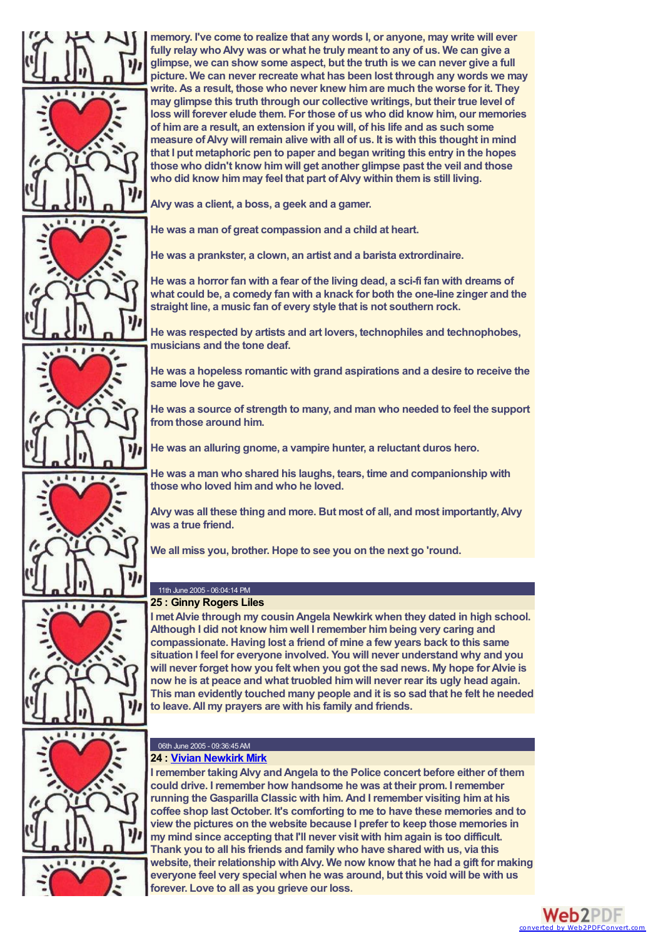

**memory. I've come to realize that any words I, or anyone, may write will ever fully relay whoAlvy was or what he truly meant to any of us. We can give a glimpse, we can show some aspect, but the truth is we can never give a full picture. We can never recreate what has been lost through any words we may write. As a result, those who never knew himare much the worse for it. They may glimpse this truth through our collective writings, but their true level of loss will forever elude them. For those of us who did know him, our memories of himare a result, an extension if you will, of his life and as such some measure ofAlvy will remain alive with all of us. It is with this thought in mind that I put metaphoric pen to paper and began writing this entry in the hopes those who didn't know himwill get another glimpse past the veil and those who did know himmay feel that part ofAlvy within themis still living.**

**Alvy was a client, a boss, a geek and a gamer.**

**He was a man of great compassion and a child at heart.**

**He was a prankster, a clown, an artist and a barista extrordinaire.**

**He was a horror fan with a fear of the living dead, a sci-fi fan with dreams of what could be, a comedy fan with a knack for both the one-line zinger and the straight line, a music fan of every style that is not southern rock.**

**He was respected by artists and art lovers, technophiles and technophobes, musicians and the tone deaf.**

**He was a hopeless romantic with grand aspirations and a desire to receive the same love he gave.**

**He was a source of strength to many, and man who needed to feel the support fromthose around him.**

**He was an alluring gnome, a vampire hunter, a reluctant duros hero.**

**He was a man who shared his laughs, tears, time and companionship with those who loved himand who he loved.**

**Alvy was all these thing and more. But most of all, and most importantly,Alvy was a true friend.**

**We all miss you, brother. Hope to see you on the next go 'round.**

#### 11th June 2005 - 06:04:14 PM **25 : Ginny Rogers Liles**

**I metAlvie through my cousinAngela Newkirk when they dated in high school. Although I did not know himwell I remember himbeing very caring and compassionate. Having lost a friend of mine a few years back to this same situation I feel for everyone involved. You will never understand why and you will never forget how you felt when you got the sad news. My hope forAlvie is now he is at peace and what truobled himwill never rear its ugly head again. This man evidently touched many people and it is so sad that he felt he needed to leave.All my prayers are with his family and friends.**

#### 06th June 2005 - 09:36:45AM **24 : Vivian [Newkirk](mailto:vmirk@earthlink.net) Mirk**

**I remember takingAlvy andAngela to the Police concert before either of them could drive. I remember how handsome he was at their prom. I remember running the Gasparilla Classic with him. And I remember visiting himat his coffee shop last October. It's comforting to me to have these memories and to view the pictures on the website because I prefer to keep those memories in my mind since accepting that I'll never visit with himagain is too difficult. Thank you to all his friends and family who have shared with us, via this website, their relationship withAlvy. We now know that he had a gift for making everyone feel very special when he was around, but this void will be with us forever. Love to all as you grieve our loss.**

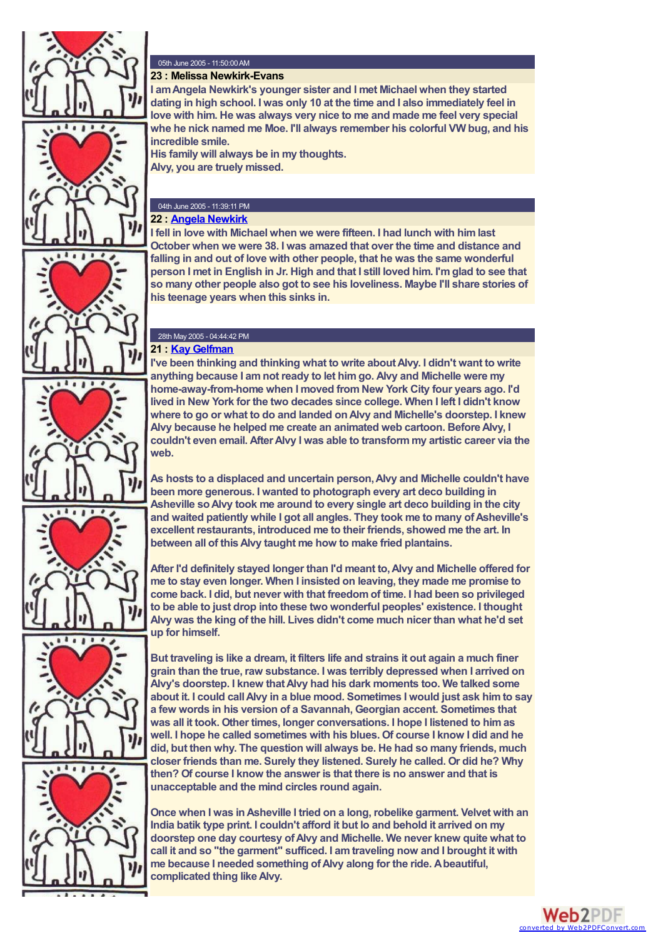



 $1111144$ 

 $\begin{array}{c} 0 & 0 \\ 0 & 0 \end{array}$ 

 $1 1 1 1 0 0$ 

 $\ddot{\phantom{a}}$ 



**I amAngela Newkirk's younger sister and I met Michael when they started dating in high school. I was only 10 at the time and I also immediately feel in love with him. He was always very nice to me and made me feel very special whe he nick named me Moe. I'll always remember his colorful VW bug, and his incredible smile.**

**His family will always be in my thoughts. Alvy, you are truely missed.**

# 04th June 2005 - 11:39:11 PM

**22 : Angela [Newkirk](mailto:acnewkirk@earthlink.net)**

**I fell in love with Michael when we were fifteen. I had lunch with himlast October when we were 38. I was amazed that over the time and distance and falling in and out of love with other people, that he was the same wonderful person I met in English in Jr. High and that I still loved him. I'mglad to see that so many other people also got to see his loveliness. Maybe I'll share stories of his teenage years when this sinks in.**

### 28th May 2005 - 04:44:42 PM **21 : Kay [Gelfman](mailto:kaygelf@earthlink.net)**

**I've been thinking and thinking what to write aboutAlvy. I didn't want to write anything because I amnot ready to let himgo. Alvy and Michelle were my home-away-from-home when I moved fromNew York City four years ago. I'd lived in New York for the two decades since college. When I left I didn't know where to go or what to do and landed onAlvy and Michelle's doorstep. I knew Alvy because he helped me create an animated web cartoon. BeforeAlvy, I couldn't even email. AfterAlvy I was able to transformmy artistic career via the web.**

**As hosts to a displaced and uncertain person,Alvy and Michelle couldn't have been more generous. I wanted to photograph every art deco building in Asheville soAlvy took me around to every single art deco building in the city and waited patiently while I got all angles. They took me to many ofAsheville's excellent restaurants, introduced me to their friends, showed me the art. In between all of thisAlvy taught me how to make fried plantains.**

**After I'd definitely stayed longer than I'd meant to,Alvy and Michelle offered for me to stay even longer. When I insisted on leaving, they made me promise to come back. I did, but never with that freedomof time. I had been so privileged to be able to just drop into these two wonderful peoples' existence. I thought Alvy was the king of the hill. Lives didn't come much nicer than what he'd set up for himself.**

**But traveling is like a dream, it filters life and strains it out again a much finer grain than the true, raw substance. I was terribly depressed when I arrived on Alvy's doorstep. I knew thatAlvy had his dark moments too. We talked some about it. I could callAlvy in a blue mood. Sometimes I would just ask himto say a few words in his version of a Savannah, Georgian accent. Sometimes that was all it took. Other times, longer conversations. I hope I listened to himas well. I hope he called sometimes with his blues. Of course I know I did and he did, but then why. The question will always be. He had so many friends, much closer friends than me. Surely they listened. Surely he called. Or did he? Why then? Of course I know the answer is that there is no answer and that is unacceptable and the mind circles round again.**



**Once when I was inAsheville I tried on a long, robelike garment. Velvet with an India batik type print. I couldn't afford it but lo and behold it arrived on my doorstep one day courtesy ofAlvy and Michelle. We never knew quite what to call it and so "the garment" sufficed. I amtraveling now and I brought it with me because I needed something ofAlvy along for the ride. Abeautiful, complicated thing likeAlvy.**

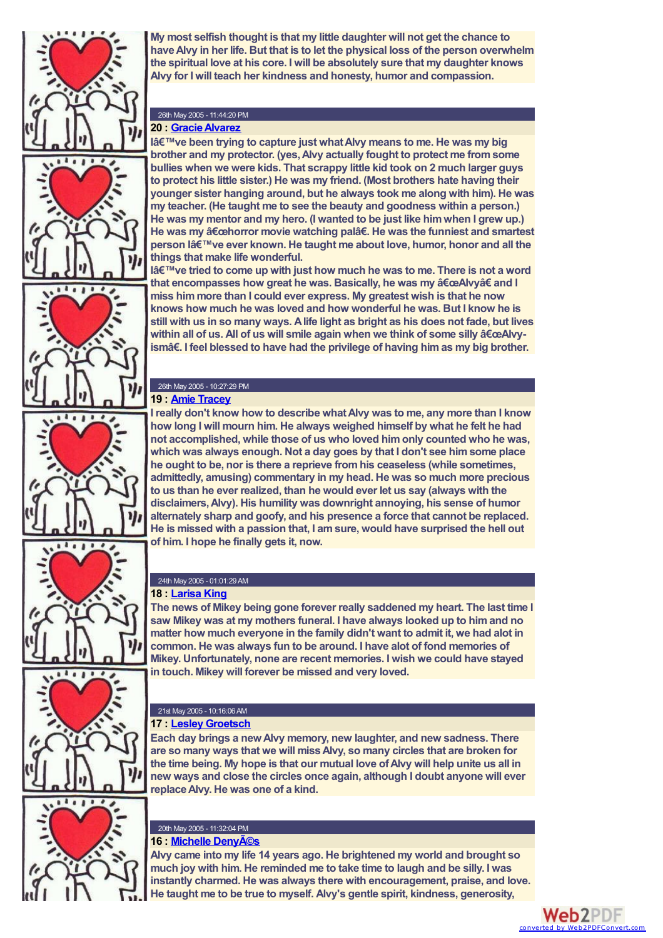

**My most selfish thought is that my little daughter will not get the chance to haveAlvy in her life. But that is to let the physical loss of the person overwhelm the spiritual love at his core. I will be absolutely sure that my daughter knows Alvy for I will teach her kindness and honesty, humor and compassion.**

# 26th May 2005 - 11:44:20 PM

# **20 : [GracieAlvarez](mailto:galvarez@frii.com)**

**I've been trying to capture just whatAlvy means to me. He was my big brother and my protector. (yes,Alvy actually fought to protect me fromsome bullies when we were kids. That scrappy little kid took on 2 much larger guys to protect his little sister.) He was my friend. (Most brothers hate having their younger sister hanging around, but he always took me along with him). He was my teacher. (He taught me to see the beauty and goodness within a person.) He was my mentor and my hero. (I wanted to be just like himwhen I grew up.) He** was my "horror movie watching palâ€. He was the funniest and smartest **person l've ever known. He taught me about love, humor, honor and all the things that make life wonderful.**

**I've tried to come up with just how much he was to me. There is not a word that encompasses how great he was. Basically, he was my "Alvy†and I miss himmore than I could ever express. My greatest wish is that he now knows how much he was loved and how wonderful he was. But I know he is still with us in so many ways. Alife light as bright as his does not fade, but lives within** all of us. All of us will smile again when we think of some silly "Alvy**ismâ€. I feel blessed to have had the privilege of having himas my big brother.**

# 26th May 2005 - 10:27:29 PM

# **19 : Amie [Tracey](mailto:mary@mary-contrary.com)**

**I really don't know how to describe whatAlvy was to me, any more than I know how long I will mourn him. He always weighed himself by what he felt he had not accomplished, while those of us who loved himonly counted who he was, which was always enough. Not a day goes by that I don't see himsome place he ought to be, nor is there a reprieve fromhis ceaseless (while sometimes, admittedly, amusing) commentary in my head. He was so much more precious to us than he ever realized, than he would ever let us say (always with the disclaimers,Alvy). His humility was downright annoying, his sense of humor alternately sharp and goofy, and his presence a force that cannot be replaced. He is missed with a passion that, I amsure, would have surprised the hell out of him. I hope he finally gets it, now.**



# 24th May 2005 - 01:01:29AM

# **18 : [Larisa](mailto:sylvannah@msn.com) King**

**The news of Mikey being gone forever really saddened my heart. The last time I saw Mikey was at my mothers funeral. I have always looked up to himand no matter how much everyone in the family didn't want to admit it, we had alot in common. He was always fun to be around. I have alot of fond memories of Mikey. Unfortunately, none are recent memories. I wish we could have stayed in touch. Mikey will forever be missed and very loved.**



#### 21st May 2005 - 10:16:06AM **17 : Lesley [Groetsch](mailto:stuffingolives@mac.com)**

**Each day brings a newAlvy memory, new laughter, and new sadness. There are so many ways that we will missAlvy, so many circles that are broken for the time being. My hope is that our mutual love ofAlvy will help unite us all in new ways and close the circles once again, although I doubt anyone will ever replaceAlvy. He was one of a kind.**



#### 20th May 2005 - 11:32:04 PM **16 : Michelle [Denyés](mailto:michelle@chezdenyes.com)**

**Alvy came into my life 14 years ago. He brightened my world and brought so much joy with him. He reminded me to take time to laugh and be silly. I was instantly charmed. He was always there with encouragement, praise, and love. He taught me to be true to myself. Alvy's gentle spirit, kindness, generosity,**

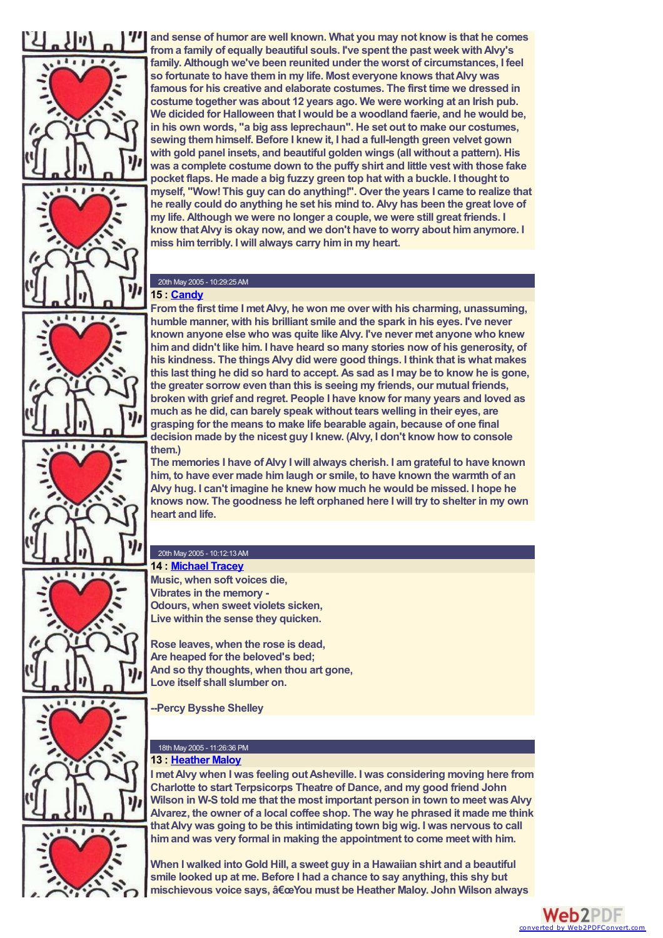

 $11.11.77$ 

**and sense of humor are well known. What you may not know is that he comes froma family of equally beautiful souls. I've spent the past week withAlvy's family. Although we've been reunited under the worst of circumstances, I feel so fortunate to have themin my life. Most everyone knows thatAlvy was famous for his creative and elaborate costumes. The first time we dressed in costume together was about 12 years ago. We were working at an Irish pub. We dicided for Halloween that I would be a woodland faerie, and he would be, in his own words, "a big ass leprechaun". He set out to make our costumes, sewing themhimself. Before I knew it, I had a full-length green velvet gown with gold panel insets, and beautiful golden wings (all without a pattern). His was a complete costume down to the puffy shirt and little vest with those fake pocket flaps. He made a big fuzzy green top hat with a buckle. I thought to myself, "Wow!This guy can do anything!". Over the years I came to realize that he really could do anything he set his mind to. Alvy has been the great love of my life. Although we were no longer a couple, we were still great friends. I know thatAlvy is okay now, and we don't have to worry about himanymore. I miss himterribly. I will always carry himin my heart.**

#### 20th May 2005 - 10:29:25AM **15 : [Candy](mailto:CANDYROSEPIERCE@YAHOO.COM)**

**Fromthe first time I metAlvy, he won me over with his charming, unassuming, humble manner, with his brilliant smile and the spark in his eyes. I've never known anyone else who was quite likeAlvy. I've never met anyone who knew himand didn't like him. I have heard so many stories now of his generosity, of his kindness. The thingsAlvy did were good things. I think that is what makes this last thing he did so hard to accept. As sad as I may be to know he is gone, the greater sorrow even than this is seeing my friends, our mutual friends, broken with grief and regret. People I have know for many years and loved as much as he did, can barely speak without tears welling in their eyes, are grasping for the means to make life bearable again, because of one final decision made by the nicest guy I knew. (Alvy, I don't know how to console them.)**

**The memories I have ofAlvy I will always cherish. I amgrateful to have known him, to have ever made himlaugh or smile, to have known the warmth of an Alvy hug. I can't imagine he knew how much he would be missed. I hope he knows now. The goodness he left orphaned here I will try to shelter in my own heart and life.**

#### 20th May 2005 - 10:12:13AM **14 : [Michael](mailto:michael at iotech.net) Tracey**

**Music, when soft voices die, Vibrates in the memory - Odours, when sweet violets sicken, Live within the sense they quicken.**

**Rose leaves, when the rose is dead, Are heaped for the beloved's bed; And so thy thoughts, when thou art gone, Love itself shall slumber on.**

**--Percy Bysshe Shelley**

#### 18th May 2005 - 11:26:36 PM **13 : [Heather](mailto:hmaloy@terpsicorps.org) Maloy**

**I** met Alvy when I was feeling out Asheville. I was considering moving here from **Charlotte to start Terpsicorps Theatre of Dance, and my good friend John Wilson in W-S told me that the most important person in town to meet wasAlvy Alvarez, the owner of a local coffee shop. The way he phrased it made me think thatAlvy was going to be this intimidating town big wig. I was nervous to call himand was very formal in making the appointment to come meet with him.**

**When I walked into Gold Hill, a sweet guy in a Hawaiian shirt and a beautiful smile looked up at me. Before I had a chance to say anything, this shy but mischievous voice says, "You must be Heather Maloy. John Wilson always** 

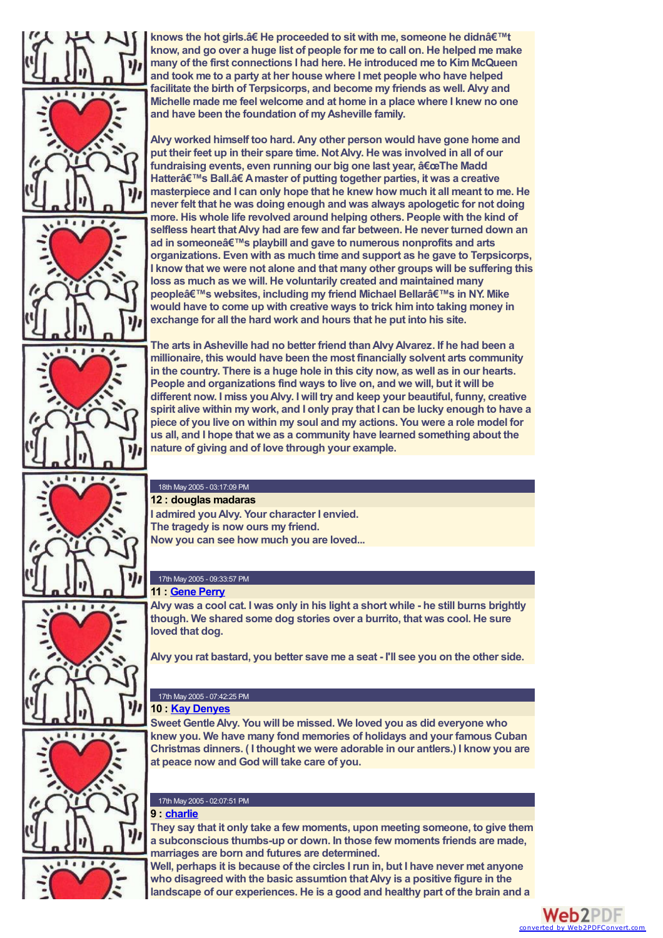

**knows the hot girls.â€ He proceeded to sit with me, someone he didn't know, and go over a huge list of people for me to call on. He helped me make many of the first connections I had here. He introduced me to KimMcQueen and took me to a party at her house where I met people who have helped facilitate the birth of Terpsicorps, and become my friends as well. Alvy and Michelle made me feel welcome and at home in a place where I knew no one and have been the foundation of myAsheville family.**

**Alvy worked himself too hard. Any other person would have gone home and put their feet up in their spare time. NotAlvy. He was involved in all of our fundraising events, even running our big one last year, "The Madd Hatter's Ball.â€ Amaster of putting together parties, it was a creative masterpiece and I can only hope that he knew how much it all meant to me. He never felt that he was doing enough and was always apologetic for not doing more. His whole life revolved around helping others. People with the kind of selfless heart thatAlvy had are few and far between. He never turned down an ad** in someone's playbill and gave to numerous nonprofits and arts **organizations. Even with as much time and support as he gave to Terpsicorps, I know that we were not alone and that many other groups will be suffering this loss as much as we will. He voluntarily created and maintained many peopleâ€**<sup>™</sup>s websites, including my friend Michael Bellarâ€<sup>™</sup>s in NY. Mike **would have to come up with creative ways to trick himinto taking money in exchange for all the hard work and hours that he put into his site.**

**The arts inAsheville had no better friend thanAlvyAlvarez. If he had been a millionaire, this would have been the most financially solvent arts community in the country. There is a huge hole in this city now, as well as in our hearts. People and organizations find ways to live on, and we will, but it will be different now. I miss youAlvy. I will try and keep your beautiful, funny, creative spirit alive within my work, and I only pray that I can be lucky enough to have a piece of you live on within my soul and my actions. You were a role model for us all, and I hope that we as a community have learned something about the nature of giving and of love through your example.**

#### 18th May 2005 - 03:17:09 PM **12 : douglas madaras**

**I admired youAlvy. Your character I envied. The tragedy is now ours my friend. Now you can see how much you are loved...**

# 17th May 2005 - 09:33:57 PM

**11 : [Gene](mailto:gene@geneperry.net) Perry Alvy was a cool cat. I was only in his light a short while - he still burns brightly though. We shared some dog stories over a burrito, that was cool. He sure**

**Alvy you rat bastard, you better save me a seat - I'll see you on the other side.**

# 17th May 2005 - 07:42:25 PM

# **10 : Kay [Denyes](mailto:denyes@mail.smnet.net)**

**Sweet GentleAlvy. You will be missed. We loved you as did everyone who knew you. We have many fond memories of holidays and your famous Cuban Christmas dinners. ( I thought we were adorable in our antlers.) I know you are at peace now and God will take care of you.**



### 17th May 2005 - 02:07:51 PM **9 : [charlie](mailto:cgentner@zensearch.com)**

**They say that it only take a few moments, upon meeting someone, to give them a subconscious thumbs-up or down. In those few moments friends are made, marriages are born and futures are determined.**

**Well, perhaps it is because of the circles I run in, but I have never met anyone who disagreed with the basic assumtion thatAlvy is a positive figure in the landscape of our experiences. He is a good and healthy part of the brain and a**

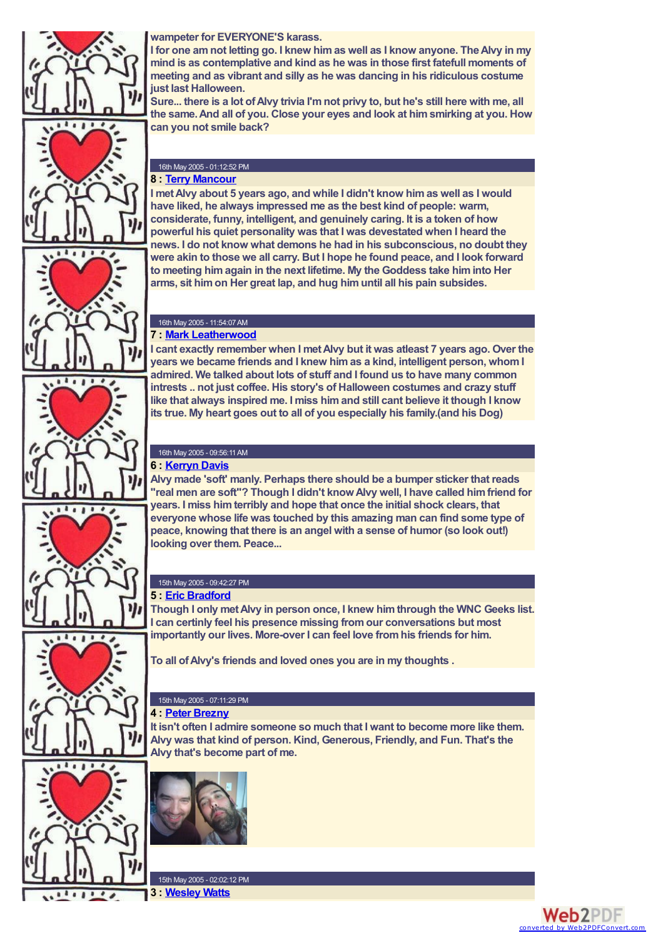



 $\begin{array}{c} 1 & 0 & 0 \\ 0 & 0 & 0 \end{array}$ 



**I for one amnot letting go. I knew himas well as I know anyone. TheAlvy in my mind is as contemplative and kind as he was in those first fatefull moments of meeting and as vibrant and silly as he was dancing in his ridiculous costume just last Halloween.**

**Sure... there is a lot ofAlvy trivia I'mnot privy to, but he's still here with me, all the same.And all of you. Close your eyes and look at himsmirking at you. How can you not smile back?**

#### 16th May 2005 - 01:12:52 PM **8 : Terry [Mancour](mailto:tmancour@gmail.com)**

**I metAlvy about 5 years ago, and while I didn't know himas well as I would have liked, he always impressed me as the best kind of people: warm, considerate, funny, intelligent, and genuinely caring. It is a token of how powerful his quiet personality was that I was devestated when I heard the news. I do not know what demons he had in his subconscious, no doubt they were akin to those we all carry. But I hope he found peace, and I look forward to meeting himagain in the next lifetime. My the Goddess take himinto Her arms, sit himon Her great lap, and hug himuntil all his pain subsides.**





 $1.1$ 

 $111110$ 

#### 16th May 2005 - 11:54:07AM **7 : Mark [Leatherwood](mailto:mark.lwood@gmail.com)**

**I cant exactly remember when I metAlvy but it was atleast 7 years ago. Over the years we became friends and I knew himas a kind, intelligent person, whomI admired. We talked about lots of stuff and I found us to have many common intrests .. not just coffee. His story's of Halloween costumes and crazy stuff like that always inspired me. I miss himand still cant believe it though I know its true. My heart goes out to all of you especially his family.(and his Dog)**

#### 16th May 2005 - 09:56:11AM **6 : [Kerryn](mailto:kerrynjane@charter.net) Davis**

**Alvy made 'soft' manly. Perhaps there should be a bumper sticker that reads "real men are soft"? Though I didn't knowAlvy well, I have called himfriend for years. I miss himterribly and hope that once the initial shock clears, that everyone whose life was touched by this amazing man can find some type of peace, knowing that there is an angel with a sense of humor (so look out!) looking over them. Peace...**

# 15th May 2005 - 09:42:27 PM

# **5 : Eric [Bradford](mailto:ebradfor@gmail.com)**

**Though I only metAlvy in person once, I knew himthrough the WNC Geeks list. I can certinly feel his presence missing fromour conversations but most importantly our lives. More-over I can feel love fromhis friends for him.**

**To all ofAlvy's friends and loved ones you are in my thoughts .**

# 15th May 2005 - 07:11:29 PM

# **4 : Peter [Brezny](mailto:peter at purplecat.net)**

**It isn't often I admire someone so much that I want to become more like them. Alvy was that kind of person. Kind, Generous, Friendly, and Fun. That's the Alvy that's become part of me.**





15th May 2005 - 02:02:12 PM **3 : [Wesley](mailto:wwatts4540@charter.net) Watts**